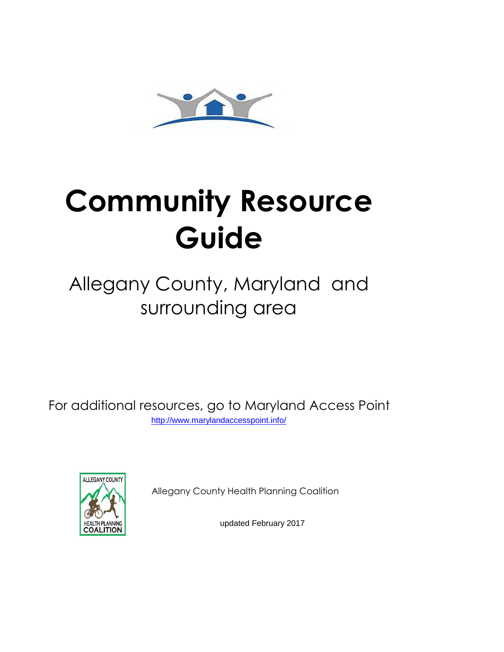

## **Community Resource Guide**

## Allegany County, Maryland and surrounding area

For additional resources, go to Maryland Access Point [h](http://www.marylandaccesspoint.info/)ttp://www.marylandaccesspoint.info/



Allegany County Health Planning Coalition

updated February 2017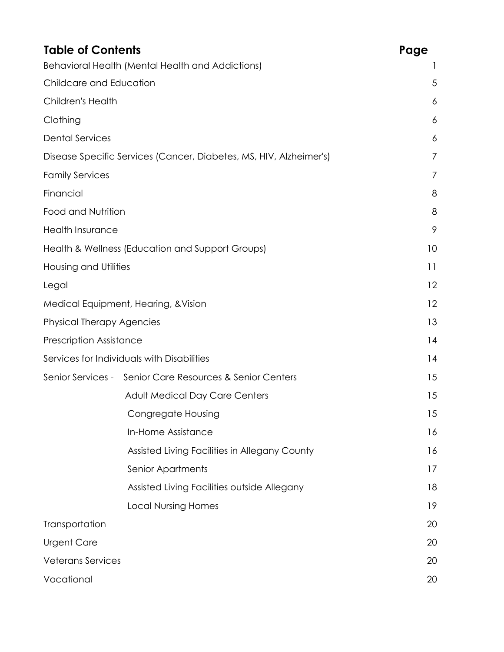| <b>Table of Contents</b>         |                                                                    | Page |
|----------------------------------|--------------------------------------------------------------------|------|
|                                  | Behavioral Health (Mental Health and Addictions)                   |      |
| Childcare and Education          |                                                                    | 5    |
| <b>Children's Health</b>         |                                                                    | 6    |
| Clothing                         |                                                                    | 6    |
| <b>Dental Services</b>           |                                                                    | 6    |
|                                  | Disease Specific Services (Cancer, Diabetes, MS, HIV, Alzheimer's) | 7    |
| <b>Family Services</b>           |                                                                    | 7    |
| Financial                        |                                                                    | 8    |
| Food and Nutrition               |                                                                    | 8    |
| <b>Health Insurance</b>          |                                                                    | 9    |
|                                  | Health & Wellness (Education and Support Groups)                   | 10   |
| <b>Housing and Utilities</b>     |                                                                    | 11   |
| Legal                            |                                                                    | 12   |
|                                  | Medical Equipment, Hearing, & Vision                               | 12   |
| <b>Physical Therapy Agencies</b> |                                                                    | 13   |
| <b>Prescription Assistance</b>   |                                                                    | 14   |
|                                  | Services for Individuals with Disabilities                         | 14   |
|                                  | Senior Services - Senior Care Resources & Senior Centers           | 15   |
|                                  | <b>Adult Medical Day Care Centers</b>                              | 15   |
|                                  | Congregate Housing                                                 | 15   |
|                                  | In-Home Assistance                                                 | 16   |
|                                  | Assisted Living Facilities in Allegany County                      | 16   |
|                                  | Senior Apartments                                                  | 17   |
|                                  | Assisted Living Facilities outside Allegany                        | 18   |
|                                  | <b>Local Nursing Homes</b>                                         | 19   |
| Transportation                   |                                                                    | 20   |
| <b>Urgent Care</b>               |                                                                    | 20   |
| <b>Veterans Services</b>         |                                                                    | 20   |
| Vocational                       |                                                                    | 20   |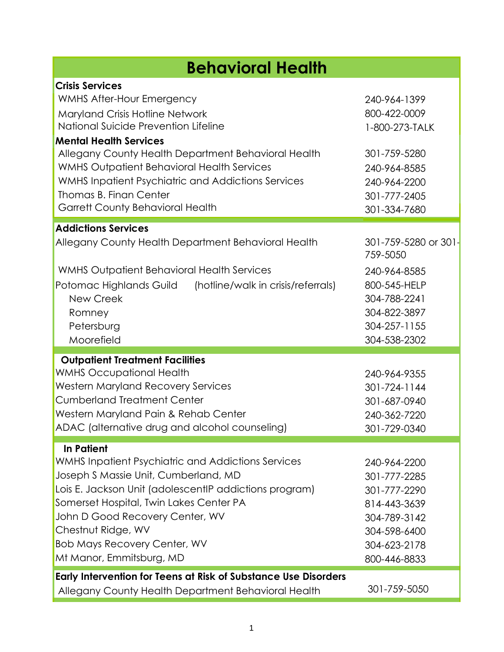| <b>Behavioral Health</b>                                                                                                                                                                                                                                                                                                                                                                                      |                                                                                                                                  |
|---------------------------------------------------------------------------------------------------------------------------------------------------------------------------------------------------------------------------------------------------------------------------------------------------------------------------------------------------------------------------------------------------------------|----------------------------------------------------------------------------------------------------------------------------------|
| <b>Crisis Services</b><br><b>WMHS After-Hour Emergency</b><br>Maryland Crisis Hotline Network<br>National Suicide Prevention Lifeline<br><b>Mental Health Services</b><br>Allegany County Health Department Behavioral Health<br><b>WMHS Outpatient Behavioral Health Services</b><br>WMHS Inpatient Psychiatric and Addictions Services<br>Thomas B. Finan Center<br><b>Garrett County Behavioral Health</b> | 240-964-1399<br>800-422-0009<br>1-800-273-TALK<br>301-759-5280<br>240-964-8585<br>240-964-2200<br>301-777-2405<br>301-334-7680   |
| <b>Addictions Services</b><br>Allegany County Health Department Behavioral Health<br><b>WMHS Outpatient Behavioral Health Services</b><br>Potomac Highlands Guild<br>(hotline/walk in crisis/referrals)<br>New Creek<br>Romney<br>Petersburg<br>Moorefield                                                                                                                                                    | 301-759-5280 or 301-<br>759-5050<br>240-964-8585<br>800-545-HELP<br>304-788-2241<br>304-822-3897<br>304-257-1155<br>304-538-2302 |
| <b>Outpatient Treatment Facilities</b><br><b>WMHS Occupational Health</b><br><b>Western Maryland Recovery Services</b><br><b>Cumberland Treatment Center</b><br>Western Maryland Pain & Rehab Center<br>ADAC (alternative drug and alcohol counseling)                                                                                                                                                        | 240-964-9355<br>301-724-1144<br>301-687-0940<br>240-362-7220<br>301-729-0340                                                     |
| <b>In Patient</b><br>WMHS Inpatient Psychiatric and Addictions Services<br>Joseph S Massie Unit, Cumberland, MD<br>Lois E. Jackson Unit (adolescentIP addictions program)<br>Somerset Hospital, Twin Lakes Center PA<br>John D Good Recovery Center, WV<br>Chestnut Ridge, WV<br><b>Bob Mays Recovery Center, WV</b><br>Mt Manor, Emmitsburg, MD                                                              | 240-964-2200<br>301-777-2285<br>301-777-2290<br>814-443-3639<br>304-789-3142<br>304-598-6400<br>304-623-2178<br>800-446-8833     |
| Early Intervention for Teens at Risk of Substance Use Disorders<br>Allegany County Health Department Behavioral Health                                                                                                                                                                                                                                                                                        | 301-759-5050                                                                                                                     |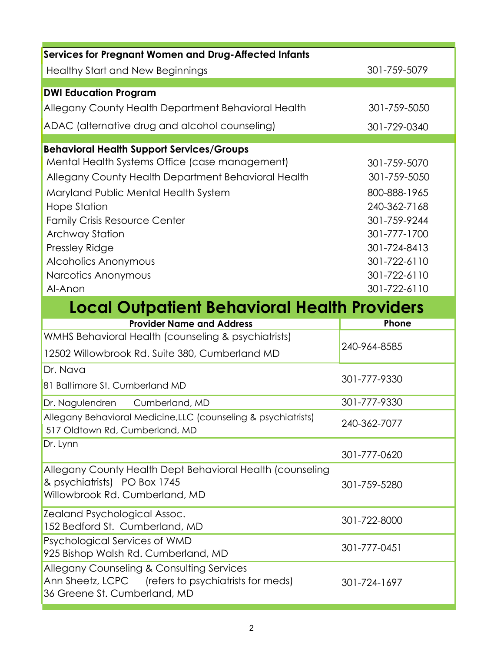| <b>Services for Pregnant Women and Drug-Affected Infants</b>                                                                                                                                                                                           |                              |
|--------------------------------------------------------------------------------------------------------------------------------------------------------------------------------------------------------------------------------------------------------|------------------------------|
| <b>Healthy Start and New Beginnings</b>                                                                                                                                                                                                                | 301-759-5079                 |
| <b>DWI Education Program</b>                                                                                                                                                                                                                           |                              |
| Allegany County Health Department Behavioral Health                                                                                                                                                                                                    | 301-759-5050                 |
| ADAC (alternative drug and alcohol counseling)                                                                                                                                                                                                         | 301-729-0340                 |
| <b>Behavioral Health Support Services/Groups</b>                                                                                                                                                                                                       |                              |
| Mental Health Systems Office (case management)                                                                                                                                                                                                         | 301-759-5070                 |
| Allegany County Health Department Behavioral Health                                                                                                                                                                                                    | 301-759-5050                 |
| Maryland Public Mental Health System                                                                                                                                                                                                                   | 800-888-1965                 |
| <b>Hope Station</b>                                                                                                                                                                                                                                    | 240-362-7168                 |
| <b>Family Crisis Resource Center</b>                                                                                                                                                                                                                   | 301-759-9244                 |
| <b>Archway Station</b>                                                                                                                                                                                                                                 | 301-777-1700                 |
| Pressley Ridge                                                                                                                                                                                                                                         | 301-724-8413                 |
| Alcoholics Anonymous                                                                                                                                                                                                                                   | 301-722-6110                 |
| Narcotics Anonymous<br>Al-Anon                                                                                                                                                                                                                         | 301-722-6110<br>301-722-6110 |
| <b>Local Outpatient Behavioral Health Providers</b>                                                                                                                                                                                                    |                              |
| <b>Provider Name and Address</b>                                                                                                                                                                                                                       | Phone                        |
| WMHS Behavioral Health (counseling & psychiatrists)                                                                                                                                                                                                    |                              |
| 12502 Willowbrook Rd. Suite 380, Cumberland MD                                                                                                                                                                                                         | 240-964-8585                 |
| Dr. Nava                                                                                                                                                                                                                                               |                              |
| 81 Baltimore St. Cumberland MD                                                                                                                                                                                                                         | 301-777-9330                 |
| Dr. Nagulendren<br>Cumberland, MD                                                                                                                                                                                                                      | 301-777-9330                 |
|                                                                                                                                                                                                                                                        |                              |
| 517 Oldtown Rd, Cumberland, MD                                                                                                                                                                                                                         | 240-362-7077                 |
|                                                                                                                                                                                                                                                        | 301-777-0620                 |
| & psychiatrists) PO Box 1745<br>Willowbrook Rd. Cumberland, MD                                                                                                                                                                                         | 301-759-5280                 |
| 152 Bedford St. Cumberland, MD                                                                                                                                                                                                                         | 301-722-8000                 |
| Allegany Behavioral Medicine, LLC (counseling & psychiatrists)<br>Dr. Lynn<br>Allegany County Health Dept Behavioral Health (counseling<br><b>Zealand Psychological Assoc.</b><br>Psychological Services of WMD<br>925 Bishop Walsh Rd. Cumberland, MD | 301-777-0451                 |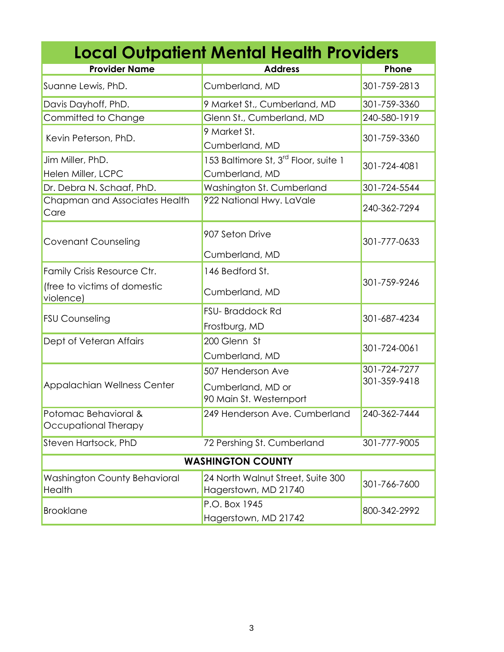| <b>Local Outpatient Mental Health Providers</b> |                                                                    |                              |  |
|-------------------------------------------------|--------------------------------------------------------------------|------------------------------|--|
| <b>Provider Name</b>                            | <b>Address</b>                                                     | Phone                        |  |
| Suanne Lewis, PhD.                              | Cumberland, MD                                                     | 301-759-2813                 |  |
| Davis Dayhoff, PhD.                             | 9 Market St., Cumberland, MD                                       | 301-759-3360                 |  |
| Committed to Change                             | Glenn St., Cumberland, MD                                          | 240-580-1919                 |  |
| Kevin Peterson, PhD.                            | 9 Market St.<br>Cumberland, MD                                     | 301-759-3360                 |  |
| Jim Miller, PhD.<br>Helen Miller, LCPC          | 153 Baltimore St, 3 <sup>rd</sup> Floor, suite 1<br>Cumberland, MD | 301-724-4081                 |  |
| Dr. Debra N. Schaaf, PhD.                       | Washington St. Cumberland                                          | 301-724-5544                 |  |
| Chapman and Associates Health<br>Care           | 922 National Hwy. LaVale                                           | 240-362-7294                 |  |
| <b>Covenant Counseling</b>                      | 907 Seton Drive<br>Cumberland, MD                                  | 301-777-0633                 |  |
| Family Crisis Resource Ctr.                     | 146 Bedford St.                                                    |                              |  |
| (free to victims of domestic<br>violence)       | Cumberland, MD                                                     | 301-759-9246                 |  |
| <b>FSU Counseling</b>                           | <b>FSU-Braddock Rd</b><br>Frostburg, MD                            | 301-687-4234                 |  |
| Dept of Veteran Affairs                         | 200 Glenn St<br>Cumberland, MD                                     | 301-724-0061                 |  |
| <b>Appalachian Wellness Center</b>              | 507 Henderson Ave<br>Cumberland, MD or<br>90 Main St. Westernport  | 301-724-7277<br>301-359-9418 |  |
| Potomac Behavioral &<br>Occupational Therapy    | 249 Henderson Ave. Cumberland                                      | 240-362-7444                 |  |
| Steven Hartsock, PhD                            | 72 Pershing St. Cumberland                                         | 301-777-9005                 |  |
| <b>WASHINGTON COUNTY</b>                        |                                                                    |                              |  |
| <b>Washington County Behavioral</b><br>Health   | 24 North Walnut Street, Suite 300<br>Hagerstown, MD 21740          | 301-766-7600                 |  |
| <b>Brooklane</b>                                | P.O. Box 1945<br>Hagerstown, MD 21742                              | 800-342-2992                 |  |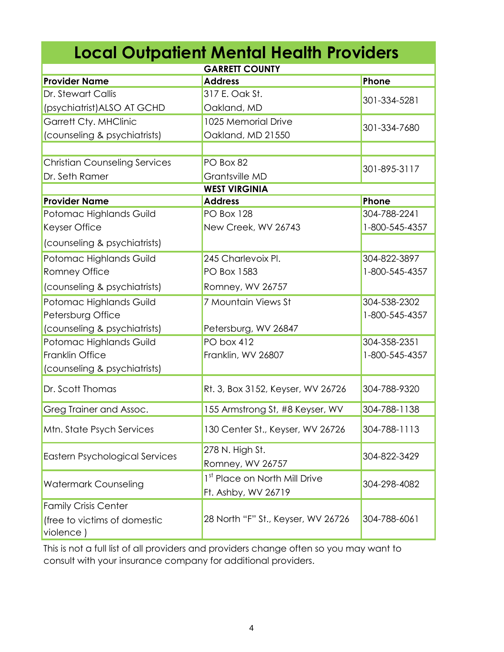| <b>Local Outpatient Mental Health Providers</b>                          |                                                      |                |  |
|--------------------------------------------------------------------------|------------------------------------------------------|----------------|--|
| <b>GARRETT COUNTY</b>                                                    |                                                      |                |  |
| <b>Provider Name</b>                                                     | <b>Address</b>                                       | Phone          |  |
| Dr. Stewart Callis                                                       | 317 E. Oak St.                                       | 301-334-5281   |  |
| (psychiatrist) ALSO AT GCHD                                              | Oakland, MD                                          |                |  |
| <b>Garrett Cty. MHClinic</b>                                             | 1025 Memorial Drive                                  | 301-334-7680   |  |
| (counseling & psychiatrists)                                             | Oakland, MD 21550                                    |                |  |
|                                                                          |                                                      |                |  |
| <b>Christian Counseling Services</b>                                     | PO Box 82                                            | 301-895-3117   |  |
| Dr. Seth Ramer                                                           | Grantsville MD                                       |                |  |
|                                                                          | <b>WEST VIRGINIA</b>                                 |                |  |
| <b>Provider Name</b>                                                     | <b>Address</b>                                       | Phone          |  |
| Potomac Highlands Guild                                                  | <b>PO Box 128</b>                                    | 304-788-2241   |  |
| Keyser Office                                                            | New Creek, WV 26743                                  | 1-800-545-4357 |  |
| (counseling & psychiatrists)                                             |                                                      |                |  |
| Potomac Highlands Guild                                                  | 245 Charlevoix Pl.                                   | 304-822-3897   |  |
| Romney Office                                                            | PO Box 1583                                          | 1-800-545-4357 |  |
| (counseling & psychiatrists)                                             | Romney, WV 26757                                     |                |  |
| Potomac Highlands Guild                                                  | 7 Mountain Views St                                  | 304-538-2302   |  |
| Petersburg Office                                                        |                                                      | 1-800-545-4357 |  |
| (counseling & psychiatrists)                                             | Petersburg, WV 26847                                 |                |  |
| Potomac Highlands Guild                                                  | PO box 412                                           | 304-358-2351   |  |
| Franklin Office                                                          | Franklin, WV 26807                                   | 1-800-545-4357 |  |
| (counseling & psychiatrists)                                             |                                                      |                |  |
| Dr. Scott Thomas                                                         | Rt. 3, Box 3152, Keyser, WV 26726                    | 304-788-9320   |  |
| Greg Trainer and Assoc.                                                  | 155 Armstrong St, #8 Keyser, WV                      | 304-788-1138   |  |
| Mtn. State Psych Services                                                | 130 Center St., Keyser, WV 26726                     | 304-788-1113   |  |
| <b>Eastern Psychological Services</b>                                    | 278 N. High St.<br>Romney, WV 26757                  | 304-822-3429   |  |
| <b>Watermark Counseling</b>                                              | 1st Place on North Mill Drive<br>Ft. Ashby, WV 26719 | 304-298-4082   |  |
| <b>Family Crisis Center</b><br>(free to victims of domestic<br>violence) | 28 North "F" St., Keyser, WV 26726                   | 304-788-6061   |  |

This is not a full list of all providers and providers change often so you may want to consult with your insurance company for additional providers.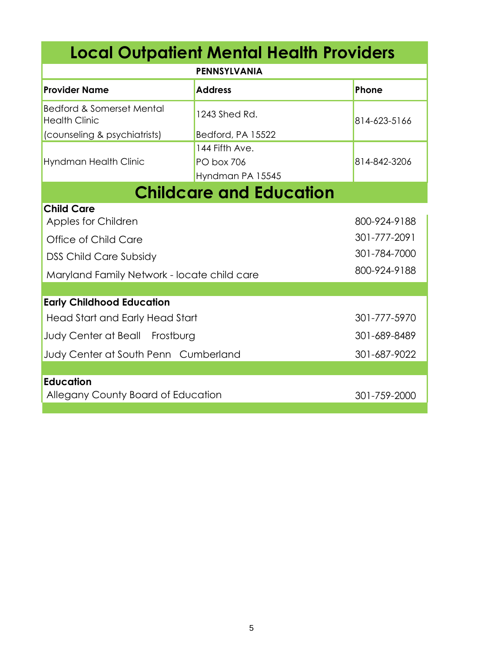| <b>Local Outpatient Mental Health Providers</b>              |                                       |              |  |
|--------------------------------------------------------------|---------------------------------------|--------------|--|
| <b>PENNSYLVANIA</b>                                          |                                       |              |  |
| <b>Provider Name</b>                                         | <b>Address</b>                        | Phone        |  |
| <b>Bedford &amp; Somerset Mental</b><br><b>Health Clinic</b> | 1243 Shed Rd.                         | 814-623-5166 |  |
| (counseling & psychiatrists)                                 | Bedford, PA 15522                     |              |  |
|                                                              | 144 Fifth Ave.                        |              |  |
| Hyndman Health Clinic                                        | <b>PO box 706</b><br>Hyndman PA 15545 | 814-842-3206 |  |
|                                                              | <b>Childcare and Education</b>        |              |  |
| <b>Child Care</b>                                            |                                       |              |  |
| Apples for Children                                          |                                       | 800-924-9188 |  |
| Office of Child Care                                         |                                       | 301-777-2091 |  |
| <b>DSS Child Care Subsidy</b>                                |                                       | 301-784-7000 |  |
| Maryland Family Network - locate child care                  |                                       | 800-924-9188 |  |
|                                                              |                                       |              |  |
| <b>Early Childhood Education</b>                             |                                       |              |  |
| Head Start and Early Head Start                              |                                       | 301-777-5970 |  |
| Judy Center at Beall Frostburg                               |                                       | 301-689-8489 |  |
| Judy Center at South Penn Cumberland                         |                                       | 301-687-9022 |  |
|                                                              |                                       |              |  |
| <b>Education</b><br>Allegany County Board of Education       |                                       | 301-759-2000 |  |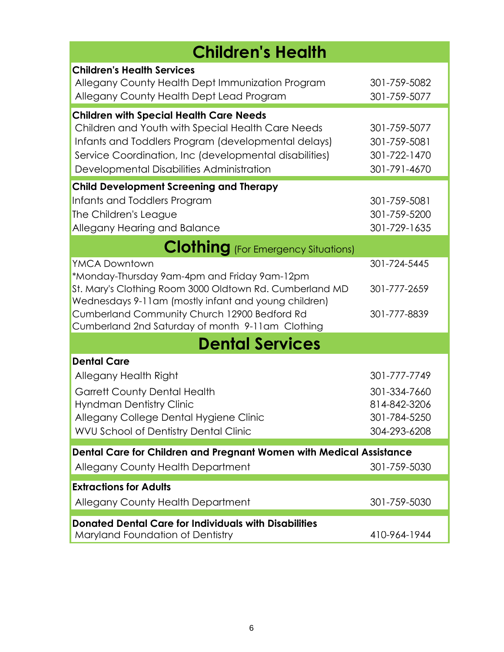| <b>Children's Health</b>                                                                                                          |                              |  |
|-----------------------------------------------------------------------------------------------------------------------------------|------------------------------|--|
| <b>Children's Health Services</b><br>Allegany County Health Dept Immunization Program<br>Allegany County Health Dept Lead Program | 301-759-5082<br>301-759-5077 |  |
| <b>Children with Special Health Care Needs</b>                                                                                    |                              |  |
| Children and Youth with Special Health Care Needs                                                                                 | 301-759-5077                 |  |
| Infants and Toddlers Program (developmental delays)<br>Service Coordination, Inc (developmental disabilities)                     | 301-759-5081<br>301-722-1470 |  |
| Developmental Disabilities Administration                                                                                         | 301-791-4670                 |  |
| <b>Child Development Screening and Therapy</b>                                                                                    |                              |  |
| Infants and Toddlers Program                                                                                                      | 301-759-5081                 |  |
| The Children's League                                                                                                             | 301-759-5200                 |  |
| Allegany Hearing and Balance                                                                                                      | 301-729-1635                 |  |
| <b>Clothing</b> (For Emergency Situations)                                                                                        |                              |  |
| <b>YMCA Downtown</b>                                                                                                              | 301-724-5445                 |  |
| *Monday-Thursday 9am-4pm and Friday 9am-12pm                                                                                      |                              |  |
| St. Mary's Clothing Room 3000 Oldtown Rd. Cumberland MD<br>Wednesdays 9-11am (mostly infant and young children)                   | 301-777-2659                 |  |
| Cumberland Community Church 12900 Bedford Rd                                                                                      | 301-777-8839                 |  |
| Cumberland 2nd Saturday of month 9-11am Clothing                                                                                  |                              |  |
| <b>Dental Services</b>                                                                                                            |                              |  |
| <b>Dental Care</b>                                                                                                                |                              |  |
| Allegany Health Right                                                                                                             | 301-777-7749                 |  |
| <b>Garrett County Dental Health</b>                                                                                               | 301-334-7660                 |  |
| <b>Hyndman Dentistry Clinic</b>                                                                                                   | 814-842-3206                 |  |
| Allegany College Dental Hygiene Clinic                                                                                            | 301-784-5250                 |  |
| <b>WVU School of Dentistry Dental Clinic</b>                                                                                      | 304-293-6208                 |  |
| Dental Care for Children and Pregnant Women with Medical Assistance                                                               |                              |  |
| Allegany County Health Department                                                                                                 | 301-759-5030                 |  |
| <b>Extractions for Adults</b>                                                                                                     |                              |  |
| <b>Allegany County Health Department</b>                                                                                          | 301-759-5030                 |  |
| <b>Donated Dental Care for Individuals with Disabilities</b>                                                                      |                              |  |
| Maryland Foundation of Dentistry                                                                                                  | 410-964-1944                 |  |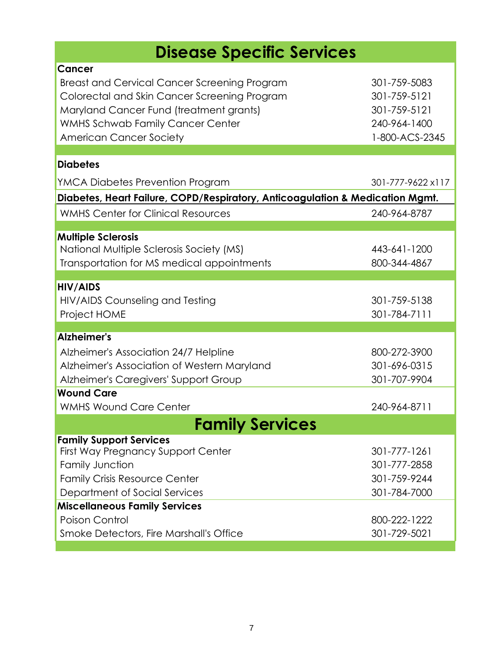## **Disease Specific Services**

| Cancer<br><b>Breast and Cervical Cancer Screening Program</b><br>Colorectal and Skin Cancer Screening Program<br>Maryland Cancer Fund (treatment grants)<br><b>WMHS Schwab Family Cancer Center</b><br><b>American Cancer Society</b> | 301-759-5083<br>301-759-5121<br>301-759-5121<br>240-964-1400<br>1-800-ACS-2345 |
|---------------------------------------------------------------------------------------------------------------------------------------------------------------------------------------------------------------------------------------|--------------------------------------------------------------------------------|
| <b>Diabetes</b>                                                                                                                                                                                                                       |                                                                                |
| YMCA Diabetes Prevention Program                                                                                                                                                                                                      | 301-777-9622 x117                                                              |
| Diabetes, Heart Failure, COPD/Respiratory, Anticoagulation & Medication Mgmt.                                                                                                                                                         |                                                                                |
| <b>WMHS Center for Clinical Resources</b>                                                                                                                                                                                             | 240-964-8787                                                                   |
| <b>Multiple Sclerosis</b><br>National Multiple Sclerosis Society (MS)<br>Transportation for MS medical appointments                                                                                                                   | 443-641-1200<br>800-344-4867                                                   |
| <b>HIV/AIDS</b><br>HIV/AIDS Counseling and Testing<br>Project HOME                                                                                                                                                                    | 301-759-5138<br>301-784-7111                                                   |
|                                                                                                                                                                                                                                       |                                                                                |
| Alzheimer's<br>Alzheimer's Association 24/7 Helpline<br>Alzheimer's Association of Western Maryland<br>Alzheimer's Caregivers' Support Group<br><b>Wound Care</b><br><b>WMHS Wound Care Center</b>                                    | 800-272-3900<br>301-696-0315<br>301-707-9904<br>240-964-8711                   |
| Family Services                                                                                                                                                                                                                       |                                                                                |
| <b>Family Support Services</b><br><b>First Way Pregnancy Support Center</b><br><b>Family Junction</b><br><b>Family Crisis Resource Center</b><br>Department of Social Services                                                        | 301-777-1261<br>301-777-2858<br>301-759-9244<br>301-784-7000                   |
| <b>Miscellaneous Family Services</b>                                                                                                                                                                                                  |                                                                                |
| Poison Control<br><b>Smoke Detectors, Fire Marshall's Office</b>                                                                                                                                                                      | 800-222-1222<br>301-729-5021                                                   |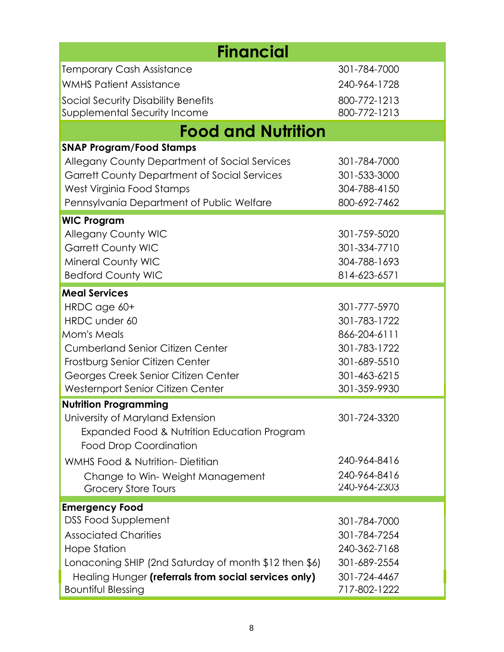| <b>Financial</b>                                       |                              |  |  |
|--------------------------------------------------------|------------------------------|--|--|
| Temporary Cash Assistance                              | 301-784-7000                 |  |  |
| <b>WMHS Patient Assistance</b>                         | 240-964-1728                 |  |  |
| <b>Social Security Disability Benefits</b>             | 800-772-1213                 |  |  |
| Supplemental Security Income                           | 800-772-1213                 |  |  |
| <b>Food and Nutrition</b>                              |                              |  |  |
| <b>SNAP Program/Food Stamps</b>                        |                              |  |  |
| Allegany County Department of Social Services          | 301-784-7000                 |  |  |
| Garrett County Department of Social Services           | 301-533-3000                 |  |  |
| West Virginia Food Stamps                              | 304-788-4150                 |  |  |
| Pennsylvania Department of Public Welfare              | 800-692-7462                 |  |  |
| <b>WIC Program</b>                                     |                              |  |  |
| <b>Allegany County WIC</b>                             | 301-759-5020                 |  |  |
| <b>Garrett County WIC</b>                              | 301-334-7710                 |  |  |
| <b>Mineral County WIC</b><br><b>Bedford County WIC</b> | 304-788-1693<br>814-623-6571 |  |  |
|                                                        |                              |  |  |
| <b>Meal Services</b>                                   |                              |  |  |
| HRDC age 60+                                           | 301-777-5970                 |  |  |
| HRDC under 60<br><b>Mom's Meals</b>                    | 301-783-1722<br>866-204-6111 |  |  |
| <b>Cumberland Senior Citizen Center</b>                | 301-783-1722                 |  |  |
| Frostburg Senior Citizen Center                        | 301-689-5510                 |  |  |
| Georges Creek Senior Citizen Center                    | 301-463-6215                 |  |  |
| Westernport Senior Citizen Center                      | 301-359-9930                 |  |  |
| <b>Nutrition Programming</b>                           |                              |  |  |
| University of Maryland Extension                       | 301-724-3320                 |  |  |
| Expanded Food & Nutrition Education Program            |                              |  |  |
| <b>Food Drop Coordination</b>                          |                              |  |  |
| <b>WMHS Food &amp; Nutrition- Dietitian</b>            | 240-964-8416                 |  |  |
| Change to Win-Weight Management                        | 240-964-8416                 |  |  |
| <b>Grocery Store Tours</b>                             | 240-964-2303                 |  |  |
| <b>Emergency Food</b>                                  |                              |  |  |
| <b>DSS Food Supplement</b>                             | 301-784-7000                 |  |  |
| <b>Associated Charities</b>                            | 301-784-7254                 |  |  |
| Hope Station                                           | 240-362-7168                 |  |  |
| Lonaconing SHIP (2nd Saturday of month \$12 then \$6)  | 301-689-2554                 |  |  |
| Healing Hunger (referrals from social services only)   | 301-724-4467                 |  |  |
| <b>Bountiful Blessing</b>                              | 717-802-1222                 |  |  |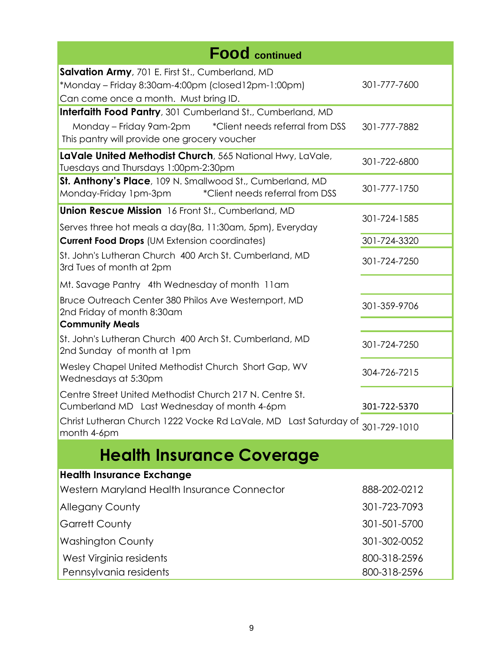| <b>Food</b> continued                                                                                                                                                            |                              |
|----------------------------------------------------------------------------------------------------------------------------------------------------------------------------------|------------------------------|
| Salvation Army, 701 E. First St., Cumberland, MD<br>*Monday - Friday 8:30am-4:00pm (closed12pm-1:00pm)<br>Can come once a month. Must bring ID.                                  | 301-777-7600                 |
| <b>Interfaith Food Pantry</b> , 301 Cumberland St., Cumberland, MD<br>Monday - Friday 9am-2pm<br>*Client needs referral from DSS<br>This pantry will provide one grocery voucher | 301-777-7882                 |
| LaVale United Methodist Church, 565 National Hwy, LaVale,<br>Tuesdays and Thursdays 1:00pm-2:30pm                                                                                | 301-722-6800                 |
| St. Anthony's Place, 109 N. Smallwood St., Cumberland, MD<br>Monday-Friday 1pm-3pm<br>*Client needs referral from DSS                                                            | 301-777-1750                 |
| <b>Union Rescue Mission</b> 16 Front St., Cumberland, MD<br>Serves three hot meals a day(8a, 11:30am, 5pm), Everyday                                                             | 301-724-1585                 |
| <b>Current Food Drops (UM Extension coordinates)</b>                                                                                                                             | 301-724-3320                 |
| St. John's Lutheran Church 400 Arch St. Cumberland, MD<br>3rd Tues of month at 2pm                                                                                               | 301-724-7250                 |
| Mt. Savage Pantry 4th Wednesday of month 11am                                                                                                                                    |                              |
| Bruce Outreach Center 380 Philos Ave Westernport, MD<br>2nd Friday of month 8:30am                                                                                               | 301-359-9706                 |
| <b>Community Meals</b>                                                                                                                                                           |                              |
| St. John's Lutheran Church 400 Arch St. Cumberland, MD<br>2nd Sunday of month at 1pm                                                                                             | 301-724-7250                 |
| Wesley Chapel United Methodist Church Short Gap, WV<br>Wednesdays at 5:30pm                                                                                                      | 304-726-7215                 |
| Centre Street United Methodist Church 217 N. Centre St.<br>Cumberland MD Last Wednesday of month 4-6pm                                                                           | 301-722-5370                 |
| Christ Lutheran Church 1222 Vocke Rd LaVale, MD Last Saturday of 301-729-1010<br>month 4-6pm                                                                                     |                              |
| <b>Health Insurance Coverage</b>                                                                                                                                                 |                              |
| <b>Health Insurance Exchange</b>                                                                                                                                                 |                              |
| Western Maryland Health Insurance Connector                                                                                                                                      | 888-202-0212                 |
| <b>Allegany County</b>                                                                                                                                                           | 301-723-7093                 |
| <b>Garrett County</b>                                                                                                                                                            | 301-501-5700                 |
| <b>Washington County</b>                                                                                                                                                         | 301-302-0052                 |
| West Virginia residents<br>Pennsylvania residents                                                                                                                                | 800-318-2596<br>800-318-2596 |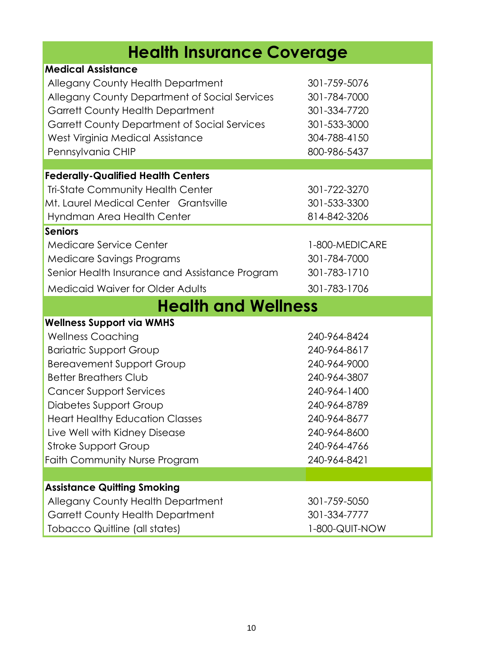| <b>Health Insurance Coverage</b>                                                                                                                                                                                                                                                                                                                                                 |                                                                                                                                                              |  |  |
|----------------------------------------------------------------------------------------------------------------------------------------------------------------------------------------------------------------------------------------------------------------------------------------------------------------------------------------------------------------------------------|--------------------------------------------------------------------------------------------------------------------------------------------------------------|--|--|
| <b>Medical Assistance</b><br>Allegany County Health Department<br>Allegany County Department of Social Services<br><b>Garrett County Health Department</b><br>Garrett County Department of Social Services<br>West Virginia Medical Assistance                                                                                                                                   | 301-759-5076<br>301-784-7000<br>301-334-7720<br>301-533-3000<br>304-788-4150                                                                                 |  |  |
| Pennsylvania CHIP<br><b>Federally-Qualified Health Centers</b><br><b>Tri-State Community Health Center</b><br>Mt. Laurel Medical Center Grantsville<br>Hyndman Area Health Center                                                                                                                                                                                                | 800-986-5437<br>301-722-3270<br>301-533-3300<br>814-842-3206                                                                                                 |  |  |
| <b>Seniors</b><br><b>Medicare Service Center</b><br>Medicare Savings Programs<br>Senior Health Insurance and Assistance Program<br><b>Medicaid Waiver for Older Adults</b>                                                                                                                                                                                                       | 1-800-MEDICARE<br>301-784-7000<br>301-783-1710<br>301-783-1706                                                                                               |  |  |
| <b>Health and Wellness</b>                                                                                                                                                                                                                                                                                                                                                       |                                                                                                                                                              |  |  |
| <b>Wellness Support via WMHS</b><br><b>Wellness Coaching</b><br><b>Bariatric Support Group</b><br><b>Bereavement Support Group</b><br><b>Better Breathers Club</b><br><b>Cancer Support Services</b><br>Diabetes Support Group<br><b>Heart Healthy Education Classes</b><br>Live Well with Kidney Disease<br><b>Stroke Support Group</b><br><b>Faith Community Nurse Program</b> | 240-964-8424<br>240-964-8617<br>240-964-9000<br>240-964-3807<br>240-964-1400<br>240-964-8789<br>240-964-8677<br>240-964-8600<br>240-964-4766<br>240-964-8421 |  |  |
|                                                                                                                                                                                                                                                                                                                                                                                  |                                                                                                                                                              |  |  |
| <b>Assistance Quitting Smoking</b><br><b>Allegany County Health Department</b><br><b>Garrett County Health Department</b><br>Tobacco Quitline (all states)                                                                                                                                                                                                                       | 301-759-5050<br>301-334-7777<br>1-800-QUIT-NOW                                                                                                               |  |  |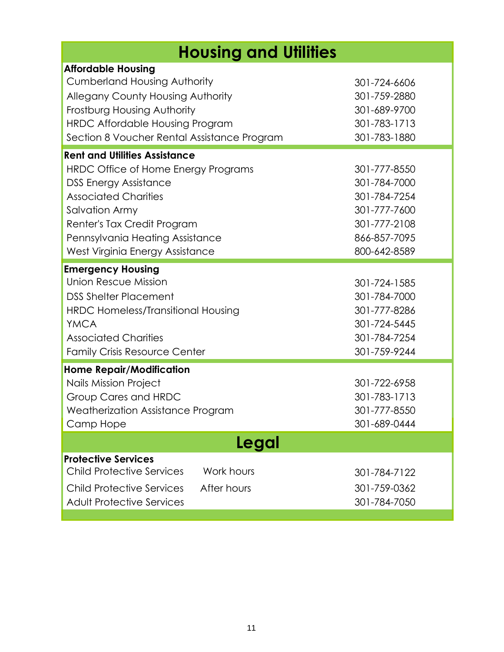| <b>Housing and Utilities</b>                                                                                                                                                                                                                                      |                                                                                                              |  |
|-------------------------------------------------------------------------------------------------------------------------------------------------------------------------------------------------------------------------------------------------------------------|--------------------------------------------------------------------------------------------------------------|--|
| <b>Affordable Housing</b><br><b>Cumberland Housing Authority</b><br><b>Allegany County Housing Authority</b><br>Frostburg Housing Authority<br>HRDC Affordable Housing Program<br>Section 8 Voucher Rental Assistance Program                                     | 301-724-6606<br>301-759-2880<br>301-689-9700<br>301-783-1713<br>301-783-1880                                 |  |
| <b>Rent and Utilities Assistance</b><br>HRDC Office of Home Energy Programs<br><b>DSS Energy Assistance</b><br><b>Associated Charities</b><br>Salvation Army<br>Renter's Tax Credit Program<br>Pennsylvania Heating Assistance<br>West Virginia Energy Assistance | 301-777-8550<br>301-784-7000<br>301-784-7254<br>301-777-7600<br>301-777-2108<br>866-857-7095<br>800-642-8589 |  |
| <b>Emergency Housing</b><br>Union Rescue Mission<br><b>DSS Shelter Placement</b><br><b>HRDC Homeless/Transitional Housing</b><br><b>YMCA</b><br><b>Associated Charities</b><br><b>Family Crisis Resource Center</b>                                               | 301-724-1585<br>301-784-7000<br>301-777-8286<br>301-724-5445<br>301-784-7254<br>301-759-9244                 |  |
| <b>Home Repair/Modification</b><br><b>Nails Mission Project</b><br>Group Cares and HRDC<br>Weatherization Assistance Program<br>Camp Hope                                                                                                                         | 301-722-6958<br>301-783-1713<br>301-777-8550<br>301-689-0444                                                 |  |
| Legal                                                                                                                                                                                                                                                             |                                                                                                              |  |
| <b>Protective Services</b><br><b>Child Protective Services</b><br>Work hours<br><b>Child Protective Services</b><br>After hours<br><b>Adult Protective Services</b>                                                                                               | 301-784-7122<br>301-759-0362<br>301-784-7050                                                                 |  |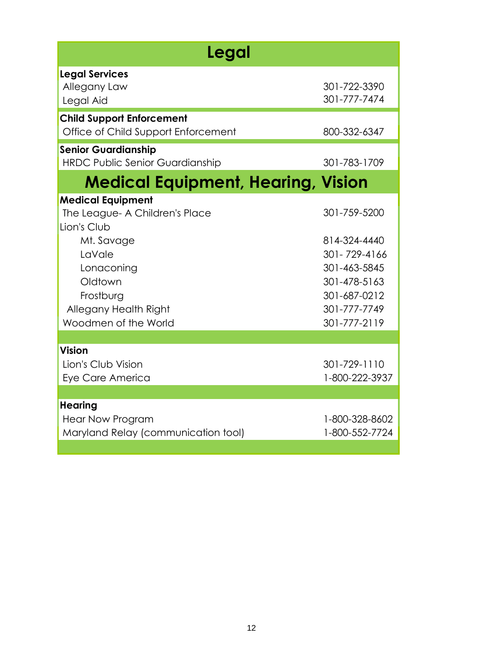| Legal                                                                                   |                                                              |  |
|-----------------------------------------------------------------------------------------|--------------------------------------------------------------|--|
| <b>Legal Services</b><br>Allegany Law<br>Legal Aid                                      | 301-722-3390<br>301-777-7474                                 |  |
| <b>Child Support Enforcement</b><br>Office of Child Support Enforcement                 | 800-332-6347                                                 |  |
| <b>Senior Guardianship</b><br><b>HRDC Public Senior Guardianship</b>                    | 301-783-1709                                                 |  |
| <b>Medical Equipment, Hearing, Vision</b>                                               |                                                              |  |
| <b>Medical Equipment</b><br>The League- A Children's Place<br>Lion's Club<br>Mt. Savage | 301-759-5200<br>814-324-4440                                 |  |
| LaVale<br>Lonaconing<br>Oldtown<br>Frostburg                                            | 301-729-4166<br>301-463-5845<br>301-478-5163<br>301-687-0212 |  |
| Allegany Health Right<br>Woodmen of the World                                           | 301-777-7749<br>301-777-2119                                 |  |
| <b>Vision</b>                                                                           |                                                              |  |
| Lion's Club Vision<br>Eye Care America                                                  | 301-729-1110<br>1-800-222-3937                               |  |
|                                                                                         |                                                              |  |
| <b>Hearing</b><br><b>Hear Now Program</b><br>Maryland Relay (communication tool)        | 1-800-328-8602<br>1-800-552-7724                             |  |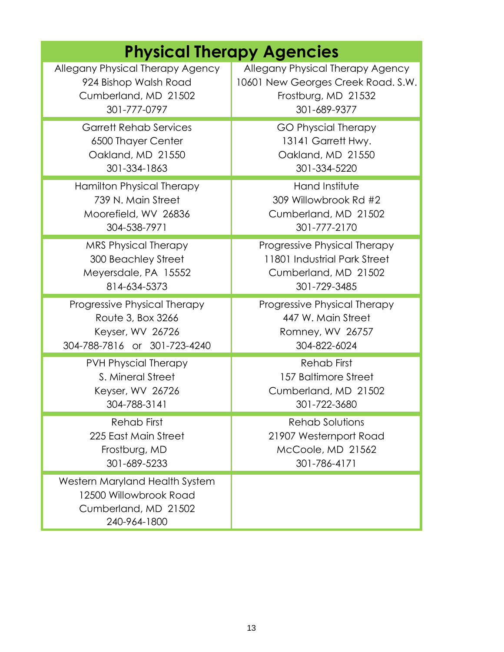| <b>Physical Therapy Agencies</b>                                                                 |                                    |  |
|--------------------------------------------------------------------------------------------------|------------------------------------|--|
| Allegany Physical Therapy Agency                                                                 | Allegany Physical Therapy Agency   |  |
| 924 Bishop Walsh Road                                                                            | 10601 New Georges Creek Road. S.W. |  |
| Cumberland, MD 21502                                                                             | Frostburg, MD 21532                |  |
| 301-777-0797                                                                                     | 301-689-9377                       |  |
| <b>Garrett Rehab Services</b>                                                                    | <b>GO Physcial Therapy</b>         |  |
| 6500 Thayer Center                                                                               | 13141 Garrett Hwy.                 |  |
| Oakland, MD 21550                                                                                | Oakland, MD 21550                  |  |
| 301-334-1863                                                                                     | 301-334-5220                       |  |
| Hamilton Physical Therapy                                                                        | Hand Institute                     |  |
| 739 N. Main Street                                                                               | 309 Willowbrook Rd #2              |  |
| Moorefield, WV 26836                                                                             | Cumberland, MD 21502               |  |
| 304-538-7971                                                                                     | 301-777-2170                       |  |
| <b>MRS Physical Therapy</b>                                                                      | Progressive Physical Therapy       |  |
| 300 Beachley Street                                                                              | 11801 Industrial Park Street       |  |
| Meyersdale, PA 15552                                                                             | Cumberland, MD 21502               |  |
| 814-634-5373                                                                                     | 301-729-3485                       |  |
| Progressive Physical Therapy                                                                     | Progressive Physical Therapy       |  |
| Route 3, Box 3266                                                                                | 447 W. Main Street                 |  |
| Keyser, WV 26726                                                                                 | Romney, WV 26757                   |  |
| 304-788-7816 or 301-723-4240                                                                     | 304-822-6024                       |  |
| <b>PVH Physcial Therapy</b>                                                                      | <b>Rehab First</b>                 |  |
| S. Mineral Street                                                                                | 157 Baltimore Street               |  |
| Keyser, WV 26726                                                                                 | Cumberland, MD 21502               |  |
| 304-788-3141                                                                                     | 301-722-3680                       |  |
| Rehab First                                                                                      | Rehab Solutions                    |  |
| 225 East Main Street                                                                             | 21907 Westernport Road             |  |
| Frostburg, MD                                                                                    | McCoole, MD 21562                  |  |
| 301-689-5233                                                                                     | 301-786-4171                       |  |
| Western Maryland Health System<br>12500 Willowbrook Road<br>Cumberland, MD 21502<br>240-964-1800 |                                    |  |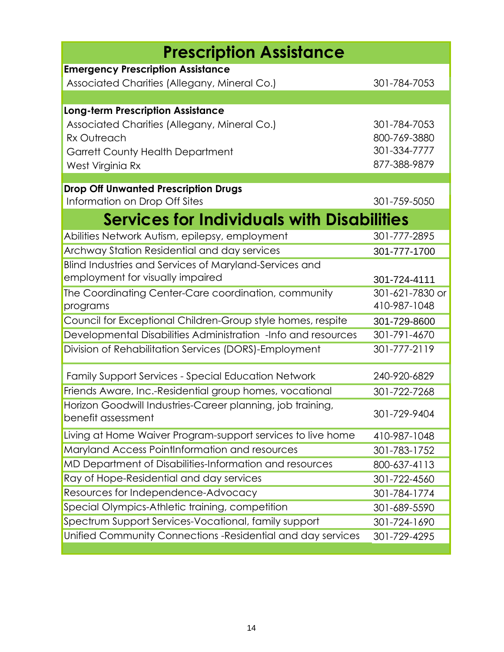| <b>Prescription Assistance</b>                                                   |                 |
|----------------------------------------------------------------------------------|-----------------|
| <b>Emergency Prescription Assistance</b>                                         |                 |
| Associated Charities (Allegany, Mineral Co.)                                     | 301-784-7053    |
|                                                                                  |                 |
| <b>Long-term Prescription Assistance</b>                                         |                 |
| Associated Charities (Allegany, Mineral Co.)                                     | 301-784-7053    |
| Rx Outreach                                                                      | 800-769-3880    |
| <b>Garrett County Health Department</b>                                          | 301-334-7777    |
| West Virginia Rx                                                                 | 877-388-9879    |
| <b>Drop Off Unwanted Prescription Drugs</b>                                      |                 |
| Information on Drop Off Sites                                                    | 301-759-5050    |
| <b>Services for Individuals with Disabilities</b>                                |                 |
| Abilities Network Autism, epilepsy, employment                                   | 301-777-2895    |
| Archway Station Residential and day services                                     | 301-777-1700    |
| Blind Industries and Services of Maryland-Services and                           |                 |
| employment for visually impaired                                                 | 301-724-4111    |
| The Coordinating Center-Care coordination, community                             | 301-621-7830 or |
| programs                                                                         | 410-987-1048    |
| Council for Exceptional Children-Group style homes, respite                      | 301-729-8600    |
| Developmental Disabilities Administration -Info and resources                    | 301-791-4670    |
| Division of Rehabilitation Services (DORS)-Employment                            | 301-777-2119    |
| <b>Family Support Services - Special Education Network</b>                       | 240-920-6829    |
| Friends Aware, Inc.-Residential group homes, vocational                          | 301-722-7268    |
| Horizon Goodwill Industries-Career planning, job training,<br>benefit assessment | 301-729-9404    |
| Living at Home Waiver Program-support services to live home                      | 410-987-1048    |
| Maryland Access PointInformation and resources                                   | 301-783-1752    |
| MD Department of Disabilities-Information and resources                          | 800-637-4113    |
| Ray of Hope-Residential and day services                                         | 301-722-4560    |
| Resources for Independence-Advocacy                                              | 301-784-1774    |
| Special Olympics-Athletic training, competition                                  | 301-689-5590    |
| Spectrum Support Services-Vocational, family support                             | 301-724-1690    |
| Unified Community Connections -Residential and day services                      | 301-729-4295    |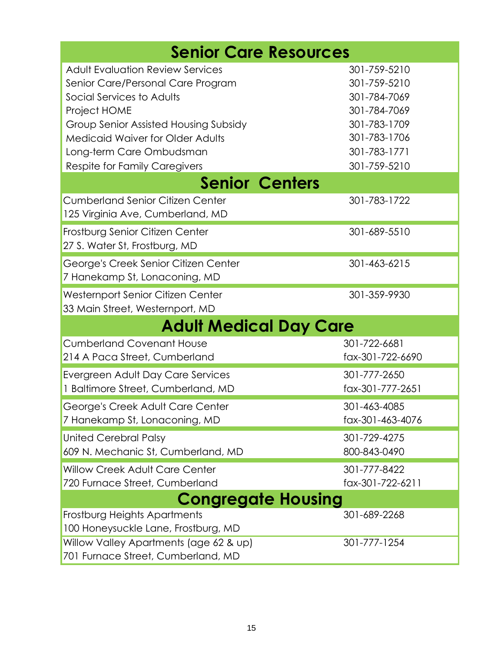| <b>Senior Care Resources</b>                                                                                                                                                                                                                                               |                                                                                                                              |  |
|----------------------------------------------------------------------------------------------------------------------------------------------------------------------------------------------------------------------------------------------------------------------------|------------------------------------------------------------------------------------------------------------------------------|--|
| <b>Adult Evaluation Review Services</b><br>Senior Care/Personal Care Program<br>Social Services to Adults<br>Project HOME<br>Group Senior Assisted Housing Subsidy<br><b>Medicaid Waiver for Older Adults</b><br>Long-term Care Ombudsman<br>Respite for Family Caregivers | 301-759-5210<br>301-759-5210<br>301-784-7069<br>301-784-7069<br>301-783-1709<br>301-783-1706<br>301-783-1771<br>301-759-5210 |  |
| <b>Senior Centers</b>                                                                                                                                                                                                                                                      |                                                                                                                              |  |
| <b>Cumberland Senior Citizen Center</b><br>125 Virginia Ave, Cumberland, MD                                                                                                                                                                                                | 301-783-1722                                                                                                                 |  |
| Frostburg Senior Citizen Center<br>27 S. Water St, Frostburg, MD                                                                                                                                                                                                           | 301-689-5510                                                                                                                 |  |
| George's Creek Senior Citizen Center<br>7 Hanekamp St, Lonaconing, MD                                                                                                                                                                                                      | 301-463-6215                                                                                                                 |  |
| Westernport Senior Citizen Center<br>33 Main Street, Westernport, MD                                                                                                                                                                                                       | 301-359-9930                                                                                                                 |  |
| <b>Adult Medical Day Care</b>                                                                                                                                                                                                                                              |                                                                                                                              |  |
| <b>Cumberland Covenant House</b><br>214 A Paca Street, Cumberland                                                                                                                                                                                                          | 301-722-6681<br>fax-301-722-6690                                                                                             |  |
| Evergreen Adult Day Care Services<br>1 Baltimore Street, Cumberland, MD                                                                                                                                                                                                    | 301-777-2650<br>fax-301-777-2651                                                                                             |  |
| George's Creek Adult Care Center<br>7 Hanekamp St, Lonaconing, MD                                                                                                                                                                                                          | 301-463-4085<br>fax-301-463-4076                                                                                             |  |
| <b>United Cerebral Palsy</b><br>609 N. Mechanic St, Cumberland, MD                                                                                                                                                                                                         | 301-729-4275<br>800-843-0490                                                                                                 |  |
| <b>Willow Creek Adult Care Center</b><br>720 Furnace Street, Cumberland                                                                                                                                                                                                    | 301-777-8422<br>fax-301-722-6211                                                                                             |  |
| <b>Congregate Housing</b>                                                                                                                                                                                                                                                  |                                                                                                                              |  |
| Frostburg Heights Apartments<br>100 Honeysuckle Lane, Frostburg, MD                                                                                                                                                                                                        | 301-689-2268                                                                                                                 |  |
| Willow Valley Apartments (age 62 & up)<br>701 Furnace Street, Cumberland, MD                                                                                                                                                                                               | 301-777-1254                                                                                                                 |  |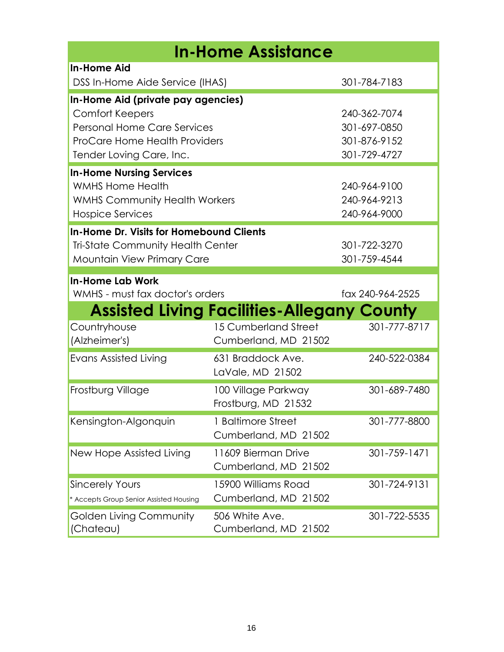| <b>In-Home Assistance</b>                                                                                                                                |                                                   |                                                              |
|----------------------------------------------------------------------------------------------------------------------------------------------------------|---------------------------------------------------|--------------------------------------------------------------|
| <b>In-Home Aid</b><br>DSS In-Home Aide Service (IHAS)                                                                                                    |                                                   | 301-784-7183                                                 |
|                                                                                                                                                          |                                                   |                                                              |
| In-Home Aid (private pay agencies)<br><b>Comfort Keepers</b><br>Personal Home Care Services<br>ProCare Home Health Providers<br>Tender Loving Care, Inc. |                                                   | 240-362-7074<br>301-697-0850<br>301-876-9152<br>301-729-4727 |
| <b>In-Home Nursing Services</b><br><b>WMHS Home Health</b><br><b>WMHS Community Health Workers</b><br>Hospice Services                                   |                                                   | 240-964-9100<br>240-964-9213<br>240-964-9000                 |
| In-Home Dr. Visits for Homebound Clients<br><b>Tri-State Community Health Center</b><br><b>Mountain View Primary Care</b>                                |                                                   | 301-722-3270<br>301-759-4544                                 |
| <b>In-Home Lab Work</b><br>WMHS - must fax doctor's orders                                                                                               |                                                   | fax 240-964-2525                                             |
|                                                                                                                                                          | <b>Assisted Living Facilities-Allegany County</b> |                                                              |
| Countryhouse<br>(Alzheimer's)                                                                                                                            | 15 Cumberland Street<br>Cumberland, MD 21502      | 301-777-8717                                                 |
| <b>Evans Assisted Living</b>                                                                                                                             | 631 Braddock Ave.<br>LaVale, MD 21502             | 240-522-0384                                                 |
| Frostburg Village                                                                                                                                        | 100 Village Parkway<br>Frostburg, MD 21532        | 301-689-7480                                                 |
| Kensington-Algonquin                                                                                                                                     | 1 Baltimore Street<br>Cumberland, MD 21502        | 301-777-8800                                                 |
| New Hope Assisted Living                                                                                                                                 | 11609 Bierman Drive<br>Cumberland, MD 21502       | 301-759-1471                                                 |
| <b>Sincerely Yours</b><br>* Accepts Group Senior Assisted Housing                                                                                        | 15900 Williams Road<br>Cumberland, MD 21502       | 301-724-9131                                                 |
| Golden Living Community<br>(Chateau)                                                                                                                     | 506 White Ave.<br>Cumberland, MD 21502            | 301-722-5535                                                 |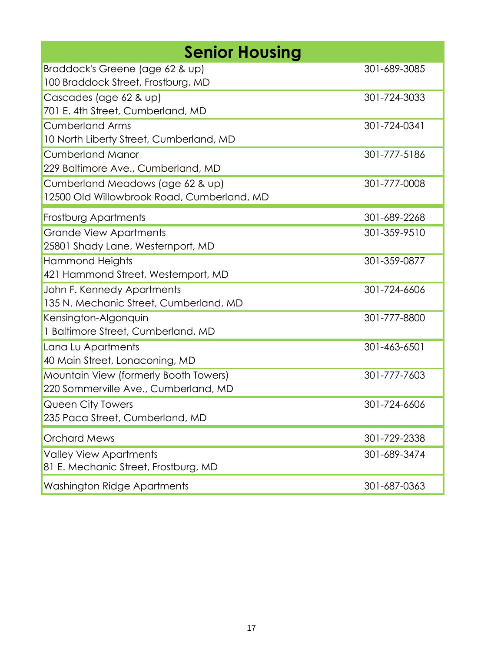| <b>Senior Housing</b>                                                          |              |
|--------------------------------------------------------------------------------|--------------|
| Braddock's Greene (age 62 & up)<br>100 Braddock Street, Frostburg, MD          | 301-689-3085 |
| Cascades (age 62 & up)<br>701 E. 4th Street, Cumberland, MD                    | 301-724-3033 |
| <b>Cumberland Arms</b><br>10 North Liberty Street, Cumberland, MD              | 301-724-0341 |
| <b>Cumberland Manor</b><br>229 Baltimore Ave., Cumberland, MD                  | 301-777-5186 |
| Cumberland Meadows (age 62 & up)<br>12500 Old Willowbrook Road, Cumberland, MD | 301-777-0008 |
| Frostburg Apartments                                                           | 301-689-2268 |
| <b>Grande View Apartments</b><br>25801 Shady Lane, Westernport, MD             | 301-359-9510 |
| Hammond Heights<br>421 Hammond Street, Westernport, MD                         | 301-359-0877 |
| John F. Kennedy Apartments<br>135 N. Mechanic Street, Cumberland, MD           | 301-724-6606 |
| Kensington-Algonquin<br>1 Baltimore Street, Cumberland, MD                     | 301-777-8800 |
| Lana Lu Apartments<br>40 Main Street, Lonaconing, MD                           | 301-463-6501 |
| Mountain View (formerly Booth Towers)<br>220 Sommerville Ave., Cumberland, MD  | 301-777-7603 |
| Queen City Towers<br>235 Paca Street, Cumberland, MD                           | 301-724-6606 |
| <b>Orchard Mews</b>                                                            | 301-729-2338 |
| <b>Valley View Apartments</b><br>81 E. Mechanic Street, Frostburg, MD          | 301-689-3474 |
| Washington Ridge Apartments                                                    | 301-687-0363 |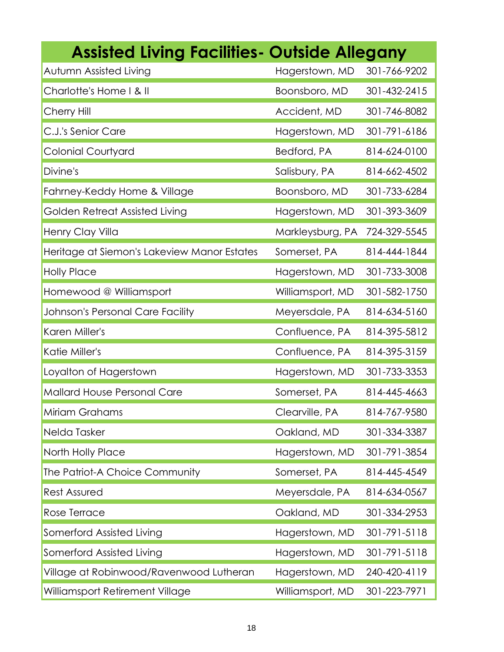| <b>Assisted Living Facilities- Outside Allegany</b> |                  |              |
|-----------------------------------------------------|------------------|--------------|
| Autumn Assisted Living                              | Hagerstown, MD   | 301-766-9202 |
| Charlotte's Home I & II                             | Boonsboro, MD    | 301-432-2415 |
| Cherry Hill                                         | Accident, MD     | 301-746-8082 |
| C.J.'s Senior Care                                  | Hagerstown, MD   | 301-791-6186 |
| <b>Colonial Courtyard</b>                           | Bedford, PA      | 814-624-0100 |
| Divine's                                            | Salisbury, PA    | 814-662-4502 |
| Fahrney-Keddy Home & Village                        | Boonsboro, MD    | 301-733-6284 |
| Golden Retreat Assisted Living                      | Hagerstown, MD   | 301-393-3609 |
| Henry Clay Villa                                    | Markleysburg, PA | 724-329-5545 |
| Heritage at Siemon's Lakeview Manor Estates         | Somerset, PA     | 814-444-1844 |
| <b>Holly Place</b>                                  | Hagerstown, MD   | 301-733-3008 |
| Homewood @ Williamsport                             | Williamsport, MD | 301-582-1750 |
| Johnson's Personal Care Facility                    | Meyersdale, PA   | 814-634-5160 |
| Karen Miller's                                      | Confluence, PA   | 814-395-5812 |
| Katie Miller's                                      | Confluence, PA   | 814-395-3159 |
| Loyalton of Hagerstown                              | Hagerstown, MD   | 301-733-3353 |
| Mallard House Personal Care                         | Somerset, PA     | 814-445-4663 |
| Miriam Grahams                                      | Clearville, PA   | 814-767-9580 |
| Nelda Tasker                                        | Oakland, MD      | 301-334-3387 |
| North Holly Place                                   | Hagerstown, MD   | 301-791-3854 |
| The Patriot-A Choice Community                      | Somerset, PA     | 814-445-4549 |
| <b>Rest Assured</b>                                 | Meyersdale, PA   | 814-634-0567 |
| Rose Terrace                                        | Oakland, MD      | 301-334-2953 |
| Somerford Assisted Living                           | Hagerstown, MD   | 301-791-5118 |
| Somerford Assisted Living                           | Hagerstown, MD   | 301-791-5118 |
| Village at Robinwood/Ravenwood Lutheran             | Hagerstown, MD   | 240-420-4119 |
| Williamsport Retirement Village                     | Williamsport, MD | 301-223-7971 |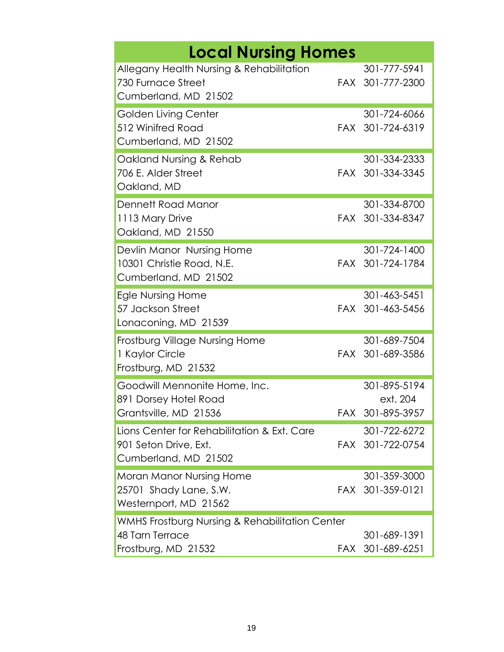| <b>Local Nursing Homes</b>                                                                   |     |                                          |
|----------------------------------------------------------------------------------------------|-----|------------------------------------------|
| Allegany Health Nursing & Rehabilitation<br>730 Furnace Street<br>Cumberland, MD 21502       |     | 301-777-5941<br>FAX 301-777-2300         |
| Golden Living Center<br>512 Winifred Road<br>Cumberland, MD 21502                            |     | 301-724-6066<br>FAX 301-724-6319         |
| Oakland Nursing & Rehab<br>706 E. Alder Street<br>Oakland, MD                                |     | 301-334-2333<br>FAX 301-334-3345         |
| Dennett Road Manor<br>1113 Mary Drive<br>Oakland, MD 21550                                   |     | 301-334-8700<br>FAX 301-334-8347         |
| Devlin Manor Nursing Home<br>10301 Christie Road, N.E.<br>Cumberland, MD 21502               |     | 301-724-1400<br>FAX 301-724-1784         |
| Egle Nursing Home<br>57 Jackson Street<br>Lonaconing, MD 21539                               |     | 301-463-5451<br>FAX 301-463-5456         |
| Frostburg Village Nursing Home<br>1 Kaylor Circle<br>Frostburg, MD 21532                     |     | 301-689-7504<br>FAX 301-689-3586         |
| Goodwill Mennonite Home, Inc.<br>891 Dorsey Hotel Road<br>Grantsville, MD 21536              | FAX | 301-895-5194<br>ext. 204<br>301-895-3957 |
| Lions Center for Rehabilitation & Ext. Care<br>901 Seton Drive, Ext.<br>Cumberland, MD 21502 |     | 301-722-6272<br>FAX 301-722-0754         |
| Moran Manor Nursing Home<br>25701 Shady Lane, S.W.<br>Westernport, MD 21562                  |     | 301-359-3000<br>FAX 301-359-0121         |
| WMHS Frostburg Nursing & Rehabilitation Center<br>48 Tarn Terrace<br>Frostburg, MD 21532     |     | 301-689-1391<br>FAX 301-689-6251         |